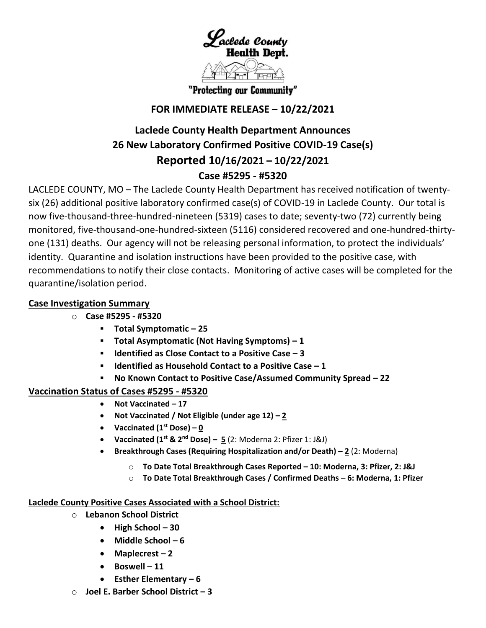

"Protecting our Community"

## **FOR IMMEDIATE RELEASE – 10/22/2021**

# **Laclede County Health Department Announces 26 New Laboratory Confirmed Positive COVID-19 Case(s) Reported 10/16/2021 – 10/22/2021 Case #5295 - #5320**

LACLEDE COUNTY, MO – The Laclede County Health Department has received notification of twentysix (26) additional positive laboratory confirmed case(s) of COVID-19 in Laclede County. Our total is now five-thousand-three-hundred-nineteen (5319) cases to date; seventy-two (72) currently being monitored, five-thousand-one-hundred-sixteen (5116) considered recovered and one-hundred-thirtyone (131) deaths. Our agency will not be releasing personal information, to protect the individuals' identity. Quarantine and isolation instructions have been provided to the positive case, with recommendations to notify their close contacts. Monitoring of active cases will be completed for the quarantine/isolation period.

## **Case Investigation Summary**

- o **Case #5295 - #5320**
	- **Total Symptomatic – 25**
	- **Total Asymptomatic (Not Having Symptoms) – 1**
	- **Identified as Close Contact to a Positive Case – 3**
	- **Identified as Household Contact to a Positive Case – 1**
	- **No Known Contact to Positive Case/Assumed Community Spread – 22**

## **Vaccination Status of Cases #5295 - #5320**

- **Not Vaccinated – 17**
- **Not Vaccinated / Not Eligible (under age 12) – 2**
- **•** Vaccinated  $(1^{\text{st}} \text{ Bose}) 0$
- **Vaccinated (1st & 2nd Dose) – 5** (2: Moderna 2: Pfizer 1: J&J)
- **Breakthrough Cases (Requiring Hospitalization and/or Death) – 2** (2: Moderna)
	- o **To Date Total Breakthrough Cases Reported – 10: Moderna, 3: Pfizer, 2: J&J**
	- o **To Date Total Breakthrough Cases / Confirmed Deaths – 6: Moderna, 1: Pfizer**

#### **Laclede County Positive Cases Associated with a School District:**

- o **Lebanon School District**
	- **High School – 30**
	- **Middle School – 6**
	- **Maplecrest – 2**
	- **Boswell – 11**
	- **Esther Elementary – 6**
- o **Joel E. Barber School District – 3**